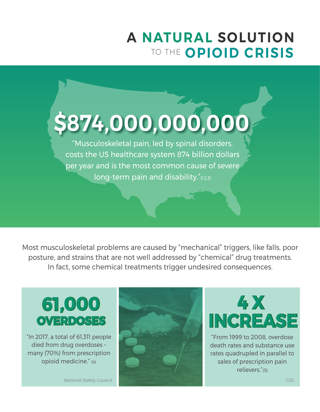## **A NATURAL SOLUTION** TO THE **OPIOID CRISIS**

# **\$874,000,000,000**

"Musculoskeletal pain, led by spinal disorders, costs the US healthcare system 874 billion dollars per year and is the most common cause of severe long-term pain and disability."(1,2,3)

Most musculoskeletal problems are caused by "mechanical" triggers, like falls, poor posture, and strains that are not well addressed by "chemical" drug treatments. In fact, some chemical treatments trigger undesired consequences.

# **,000 61,000 OVERDOSES**

 "In 2017, a total of 61,311 people died from drug overdoses – many (70%) from prescription opioid medicine." (4)





"From 1999 to 2008, overdose death rates and substance use rates quadrupled in parallel to sales of prescription pain relievers."(5)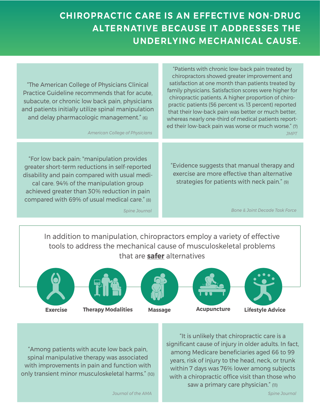#### **CHIROPRACTIC CARE IS AN EFFECTIVE NON-DRUG ALTERNATIVE BECAUSE IT ADDRESSES THE UNDERLYING MECHANICAL CAUSE.**

"The American College of Physicians Clinical Practice Guideline recommends that for acute, subacute, or chronic low back pain, physicians and patients initially utilize spinal manipulation and delay pharmacologic management." (6)

"For low back pain: "manipulation provides greater short-term reductions in self-reported disability and pain compared with usual medical care. 94% of the manipulation group achieved greater than 30% reduction in pain compared with 69% of usual medical care." (8)

"Patients with chronic low-back pain treated by chiropractors showed greater improvement and satisfaction at one month than patients treated by family physicians. Satisfaction scores were higher for chiropractic patients. A higher proportion of chiropractic patients (56 percent vs. 13 percent) reported that their low-back pain was better or much better, whereas nearly one-third of medical patients reported their low-back pain was worse or much worse." (7) *American College of Physicians JMPT*

> "Evidence suggests that manual therapy and exercise are more effective than alternative strategies for patients with neck pain." (9)

*Spine Journal Bone & Joint Decade Task Force*

In addition to manipulation, chiropractors employ a variety of effective tools to address the mechanical cause of musculoskeletal problems that are **safer** alternatives





**Exercise Therapy Modalities Massage Acupuncture Lifestyle Advice**







"Among patients with acute low back pain, spinal manipulative therapy was associated with improvements in pain and function with only transient minor musculoskeletal harms." (10)

"It is unlikely that chiropractic care is a significant cause of injury in older adults. In fact, among Medicare beneficiaries aged 66 to 99 years, risk of injury to the head, neck, or trunk within 7 days was 76% lower among subjects with a chiropractic office visit than those who saw a primary care physician." (11)

*Journal of the AMA Spine Journal*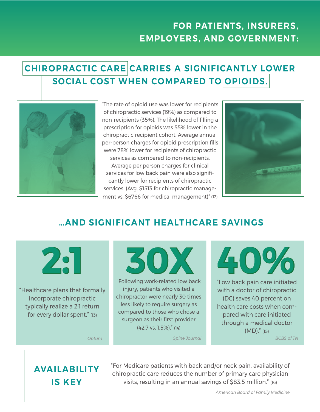## **FOR PATIENTS, INSURERS, EMPLOYERS, AND GOVERNMENT:**

## **CHIROPRACTIC CARE CARRIES A SIGNIFICANTLY LOWER SOCIAL COST WHEN COMPARED TO OPIOIDS.**



"The rate of opioid use was lower for recipients of chiropractic services (19%) as compared to non-recipients (35%). The likelihood of filling a prescription for opioids was 55% lower in the chiropractic recipient cohort. Average annual per-person charges for opioid prescription fills were 78% lower for recipients of chiropractic services as compared to non-recipients. Average per person charges for clinical services for low back pain were also significantly lower for recipients of chiropractic

services. (Avg. \$1513 for chiropractic management vs. \$6766 for medical management)" (12)



#### **…AND SIGNIFICANT HEALTHCARE SAVINGS**

"Healthcare plans that formally incorporate chiropractic typically realize a 2:1 return for every dollar spent." (13)



"Following work-related low back injury, patients who visited a chiropractor were nearly 30 times less likely to require surgery as compared to those who chose a surgeon as their first provider (42.7 vs. 1.5%)." (14)

"Low back pain care initiated with a doctor of chiropractic (DC) saves 40 percent on health care costs when compared with care initiated through a medical doctor (MD)." (15) *Optum Spine Journal BCBS of TN*

#### **AVAILABILITY IS KEY**

"For Medicare patients with back and/or neck pain, availability of chiropractic care reduces the number of primary care physician visits, resulting in an annual savings of \$83.5 million." (16)

*American Board of Family Medicine*